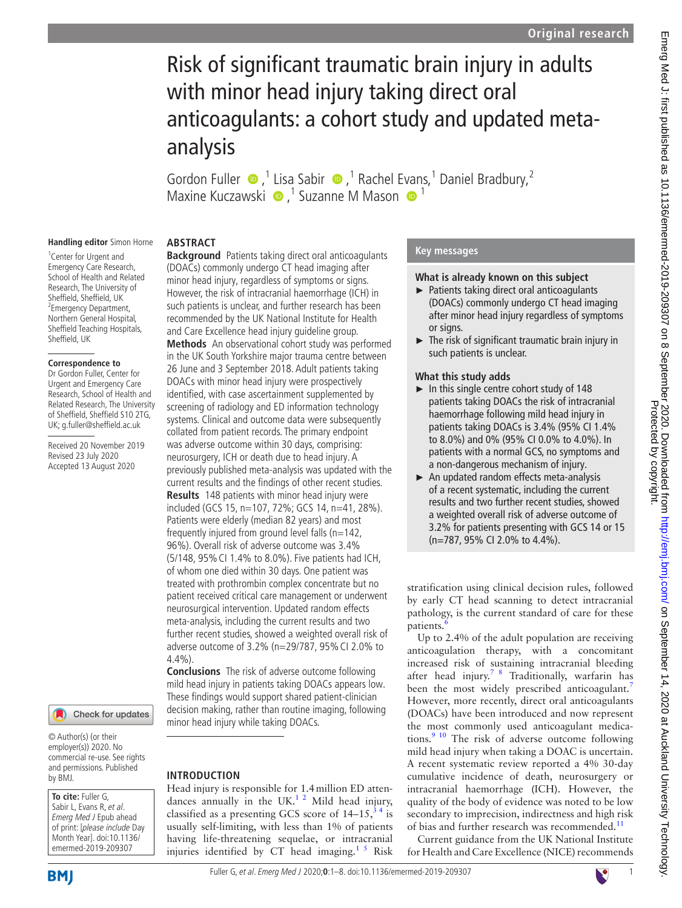# Risk of significant traumatic brain injury in adults with minor head injury taking direct oral anticoagulants: a cohort study and updated metaanalysis

Gordon Fuller  $\bullet$ ,<sup>1</sup> Lisa Sabir  $\bullet$ ,<sup>1</sup> Rachel E[van](http://orcid.org/0000-0002-1701-0577)s,<sup>1</sup> Daniel Bradbury,<sup>2</sup> MaxineKuczawski  $\bullet$ ,<sup>1</sup> Suzanne M Mason  $\bullet$ <sup>1</sup>

## **Handling editor** Simon Horne

<sup>1</sup> Center for Urgent and Emergency Care Research, School of Health and Related Research, The University of Sheffield, Sheffield, UK <sup>2</sup> Emergency Department, Northern General Hospital, Sheffield Teaching Hospitals, Sheffield, UK

#### **Correspondence to**

Dr Gordon Fuller, Center for Urgent and Emergency Care Research, School of Health and Related Research, The University of Sheffield, Sheffield S10 2TG, UK; g.fuller@sheffield.ac.uk

Received 20 November 2019 Revised 23 July 2020 Accepted 13 August 2020

## Check for updates

© Author(s) (or their employer(s)) 2020. No commercial re-use. See rights and permissions. Published by BMJ.

#### **To cite:** Fuller G, Sabir L, Evans R, et al. Emerg Med J Epub ahead of print: [please include Day Month Year]. doi:10.1136/ emermed-2019-209307

**BMI** 

## **ABSTRACT**

**Background** Patients taking direct oral anticoagulants (DOACs) commonly undergo CT head imaging after minor head injury, regardless of symptoms or signs. However, the risk of intracranial haemorrhage (ICH) in such patients is unclear, and further research has been recommended by the UK National Institute for Health and Care Excellence head injury guideline group. **Methods** An observational cohort study was performed in the UK South Yorkshire major trauma centre between 26 June and 3 September 2018. Adult patients taking DOACs with minor head injury were prospectively identified, with case ascertainment supplemented by screening of radiology and ED information technology systems. Clinical and outcome data were subsequently collated from patient records. The primary endpoint was adverse outcome within 30 days, comprising: neurosurgery, ICH or death due to head injury. A previously published meta-analysis was updated with the current results and the findings of other recent studies. **Results** 148 patients with minor head injury were included (GCS 15, n=107, 72%; GCS 14, n=41, 28%). Patients were elderly (median 82 years) and most frequently injured from ground level falls (n=142, 96%). Overall risk of adverse outcome was 3.4% (5/148, 95%CI 1.4% to 8.0%). Five patients had ICH, of whom one died within 30 days. One patient was treated with prothrombin complex concentrate but no patient received critical care management or underwent neurosurgical intervention. Updated random effects meta-analysis, including the current results and two further recent studies, showed a weighted overall risk of adverse outcome of 3.2% (n=29/787, 95%CI 2.0% to 4.4%).

**Conclusions** The risk of adverse outcome following mild head injury in patients taking DOACs appears low. These findings would support shared patient-clinician decision making, rather than routine imaging, following minor head injury while taking DOACs.

## **INTRODUCTION**

Head injury is responsible for 1.4million ED attendances annually in the UK. $12$  Mild head injury, classified as a presenting GCS score of  $14-15$ ,  $34$  is usually self-limiting, with less than 1% of patients having life-threatening sequelae, or intracranial injuries identified by  $CT$  head imaging.<sup>1 5</sup> Risk

#### **Key messages**

#### **What is already known on this subject**

- ► Patients taking direct oral anticoagulants (DOACs) commonly undergo CT head imaging after minor head injury regardless of symptoms or signs.
- ► The risk of significant traumatic brain injury in such patients is unclear.

#### **What this study adds**

- ► In this single centre cohort study of 148 patients taking DOACs the risk of intracranial haemorrhage following mild head injury in patients taking DOACs is 3.4% (95% CI 1.4% to 8.0%) and 0% (95% CI 0.0% to 4.0%). In patients with a normal GCS, no symptoms and a non-dangerous mechanism of injury.
- ► An updated random effects meta-analysis of a recent systematic, including the current results and two further recent studies, showed a weighted overall risk of adverse outcome of 3.2% for patients presenting with GCS 14 or 15 (n=787, 95% CI 2.0% to 4.4%).

stratification using clinical decision rules, followed by early CT head scanning to detect intracranial pathology, is the current standard of care for these patients.

Up to 2.4% of the adult population are receiving anticoagulation therapy, with a concomitant increased risk of sustaining intracranial bleeding after head injury.<sup>7 8</sup> Traditionally, warfarin has been the most widely prescribed anticoagulant.<sup>[7](#page-7-3)</sup> However, more recently, direct oral anticoagulants (DOACs) have been introduced and now represent the most commonly used anticoagulant medications.[9 10](#page-7-4) The risk of adverse outcome following mild head injury when taking a DOAC is uncertain. A recent systematic review reported a 4% 30-day cumulative incidence of death, neurosurgery or intracranial haemorrhage (ICH). However, the quality of the body of evidence was noted to be low secondary to imprecision, indirectness and high risk of bias and further research was recommended.<sup>11</sup>

Current guidance from the UK National Institute for Health and Care Excellence (NICE) recommends

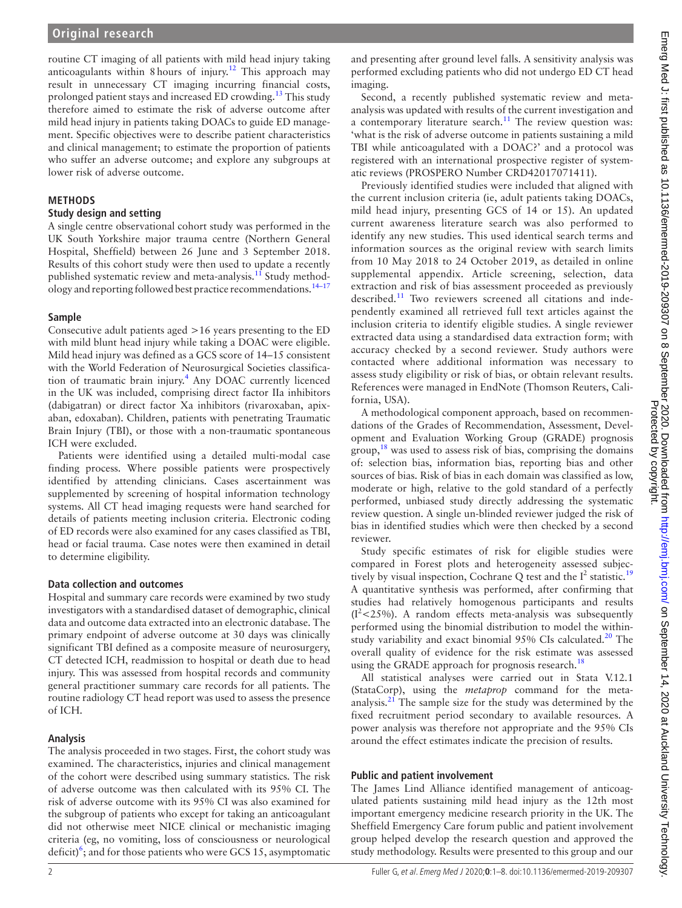routine CT imaging of all patients with mild head injury taking anticoagulants within 8 hours of injury.<sup>[12](#page-7-6)</sup> This approach may result in unnecessary CT imaging incurring financial costs, prolonged patient stays and increased ED crowding.<sup>13</sup> This study therefore aimed to estimate the risk of adverse outcome after mild head injury in patients taking DOACs to guide ED management. Specific objectives were to describe patient characteristics and clinical management; to estimate the proportion of patients who suffer an adverse outcome; and explore any subgroups at lower risk of adverse outcome.

## **METHODS**

#### **Study design and setting**

A single centre observational cohort study was performed in the UK South Yorkshire major trauma centre (Northern General Hospital, Sheffield) between 26 June and 3 September 2018. Results of this cohort study were then used to update a recently published systematic review and meta-analysis.<sup>11</sup> Study methodology and reporting followed best practice recommendations.<sup>14-17</sup>

#### **Sample**

Consecutive adult patients aged >16 years presenting to the ED with mild blunt head injury while taking a DOAC were eligible. Mild head injury was defined as a GCS score of 14–15 consistent with the World Federation of Neurosurgical Societies classifica-tion of traumatic brain injury.<sup>[4](#page-7-9)</sup> Any DOAC currently licenced in the UK was included, comprising direct factor IIa inhibitors (dabigatran) or direct factor Xa inhibitors (rivaroxaban, apixaban, edoxaban). Children, patients with penetrating Traumatic Brain Injury (TBI), or those with a non-traumatic spontaneous ICH were excluded.

Patients were identified using a detailed multi-modal case finding process. Where possible patients were prospectively identified by attending clinicians. Cases ascertainment was supplemented by screening of hospital information technology systems. All CT head imaging requests were hand searched for details of patients meeting inclusion criteria. Electronic coding of ED records were also examined for any cases classified as TBI, head or facial trauma. Case notes were then examined in detail to determine eligibility.

## **Data collection and outcomes**

Hospital and summary care records were examined by two study investigators with a standardised dataset of demographic, clinical data and outcome data extracted into an electronic database. The primary endpoint of adverse outcome at 30 days was clinically significant TBI defined as a composite measure of neurosurgery, CT detected ICH, readmission to hospital or death due to head injury. This was assessed from hospital records and community general practitioner summary care records for all patients. The routine radiology CT head report was used to assess the presence of ICH.

## **Analysis**

The analysis proceeded in two stages. First, the cohort study was examined. The characteristics, injuries and clinical management of the cohort were described using summary statistics. The risk of adverse outcome was then calculated with its 95% CI. The risk of adverse outcome with its 95% CI was also examined for the subgroup of patients who except for taking an anticoagulant did not otherwise meet NICE clinical or mechanistic imaging criteria (eg, no vomiting, loss of consciousness or neurological deficit) $\frac{6}{3}$ ; and for those patients who were GCS 15, asymptomatic and presenting after ground level falls. A sensitivity analysis was performed excluding patients who did not undergo ED CT head imaging.

Second, a recently published systematic review and metaanalysis was updated with results of the current investigation and a contemporary literature search.<sup>[11](#page-7-5)</sup> The review question was: 'what is the risk of adverse outcome in patients sustaining a mild TBI while anticoagulated with a DOAC?' and a protocol was registered with an international prospective register of systematic reviews (PROSPERO Number CRD42017071411).

Previously identified studies were included that aligned with the current inclusion criteria (ie, adult patients taking DOACs, mild head injury, presenting GCS of 14 or 15). An updated current awareness literature search was also performed to identify any new studies. This used identical search terms and information sources as the original review with search limits from 10 May 2018 to 24 October 2019, as detailed in [online](https://dx.doi.org/10.1136/emermed-2019-209307) [supplemental appendix.](https://dx.doi.org/10.1136/emermed-2019-209307) Article screening, selection, data extraction and risk of bias assessment proceeded as previously described.<sup>[11](#page-7-5)</sup> Two reviewers screened all citations and independently examined all retrieved full text articles against the inclusion criteria to identify eligible studies. A single reviewer extracted data using a standardised data extraction form; with accuracy checked by a second reviewer. Study authors were contacted where additional information was necessary to assess study eligibility or risk of bias, or obtain relevant results. References were managed in EndNote (Thomson Reuters, California, USA).

A methodological component approach, based on recommendations of the Grades of Recommendation, Assessment, Development and Evaluation Working Group (GRADE) prognosis group, $18$  was used to assess risk of bias, comprising the domains of: selection bias, information bias, reporting bias and other sources of bias. Risk of bias in each domain was classified as low, moderate or high, relative to the gold standard of a perfectly performed, unbiased study directly addressing the systematic review question. A single un-blinded reviewer judged the risk of bias in identified studies which were then checked by a second reviewer.

Study specific estimates of risk for eligible studies were compared in Forest plots and heterogeneity assessed subjectively by visual inspection, Cochrane Q test and the  $I^2$  statistic.<sup>[19](#page-7-11)</sup> A quantitative synthesis was performed, after confirming that studies had relatively homogenous participants and results  $(I<sup>2</sup>< 25%)$ . A random effects meta-analysis was subsequently performed using the binomial distribution to model the withinstudy variability and exact binomial 95% CIs calculated.<sup>20</sup> The overall quality of evidence for the risk estimate was assessed using the GRADE approach for prognosis research.<sup>[18](#page-7-10)</sup>

All statistical analyses were carried out in Stata V.12.1 (StataCorp), using the *metaprop* command for the metaanalysis. $21$  The sample size for the study was determined by the fixed recruitment period secondary to available resources. A power analysis was therefore not appropriate and the 95% CIs around the effect estimates indicate the precision of results.

## **Public and patient involvement**

The James Lind Alliance identified management of anticoagulated patients sustaining mild head injury as the 12th most important emergency medicine research priority in the UK. The Sheffield Emergency Care forum public and patient involvement group helped develop the research question and approved the study methodology. Results were presented to this group and our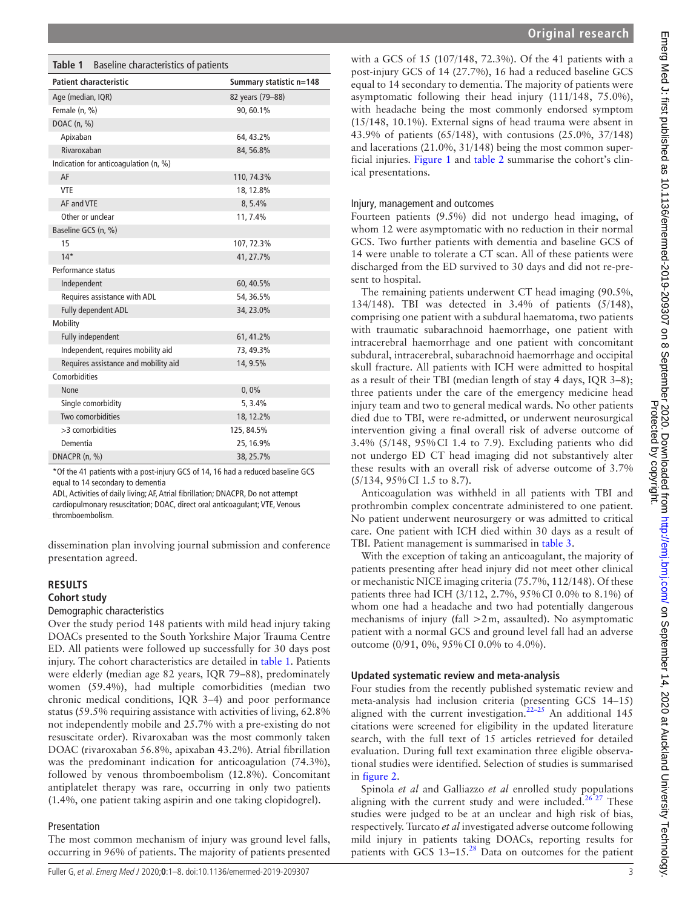<span id="page-2-0"></span>

| Table 1<br>Baseline characteristics of patients |                         |  |
|-------------------------------------------------|-------------------------|--|
| <b>Patient characteristic</b>                   | Summary statistic n=148 |  |
| Age (median, IQR)                               | 82 years (79-88)        |  |
| Female (n. %)                                   | 90, 60.1%               |  |
| DOAC (n, %)                                     |                         |  |
| Apixaban                                        | 64, 43.2%               |  |
| Rivaroxaban                                     | 84, 56.8%               |  |
| Indication for anticoagulation (n, %)           |                         |  |
| AF                                              | 110, 74.3%              |  |
| <b>VTF</b>                                      | 18, 12.8%               |  |
| AF and VTE                                      | 8, 5.4%                 |  |
| Other or unclear                                | 11, 7.4%                |  |
| Baseline GCS (n, %)                             |                         |  |
| 15                                              | 107, 72.3%              |  |
| $14*$                                           | 41, 27.7%               |  |
| Performance status                              |                         |  |
| Independent                                     | 60, 40.5%               |  |
| Requires assistance with ADL                    | 54, 36.5%               |  |
| Fully dependent ADL                             | 34, 23.0%               |  |
| Mobility                                        |                         |  |
| Fully independent                               | 61, 41.2%               |  |
| Independent, requires mobility aid              | 73, 49.3%               |  |
| Requires assistance and mobility aid            | 14, 9.5%                |  |
| Comorbidities                                   |                         |  |
| <b>None</b>                                     | 0,0%                    |  |
| Single comorbidity                              | 5, 3.4%                 |  |
| Two comorbidities                               | 18, 12.2%               |  |
| >3 comorbidities                                | 125, 84.5%              |  |
| Dementia                                        | 25, 16.9%               |  |
| DNACPR (n, %)                                   | 38, 25.7%               |  |

\*Of the 41 patients with a post-injury GCS of 14, 16 had a reduced baseline GCS equal to 14 secondary to dementia

ADL, Activities of daily living; AF, Atrial fibrillation; DNACPR, Do not attempt cardiopulmonary resuscitation; DOAC, direct oral anticoagulant; VTE, Venous thromboembolism.

dissemination plan involving journal submission and conference presentation agreed.

#### **RESULTS**

#### **Cohort study**

#### Demographic characteristics

Over the study period 148 patients with mild head injury taking DOACs presented to the South Yorkshire Major Trauma Centre ED. All patients were followed up successfully for 30 days post injury. The cohort characteristics are detailed in [table](#page-2-0) 1. Patients were elderly (median age 82 years, IQR 79–88), predominately women (59.4%), had multiple comorbidities (median two chronic medical conditions, IQR 3–4) and poor performance status (59.5% requiring assistance with activities of living, 62.8% not independently mobile and 25.7% with a pre-existing do not resuscitate order). Rivaroxaban was the most commonly taken DOAC (rivaroxaban 56.8%, apixaban 43.2%). Atrial fibrillation was the predominant indication for anticoagulation (74.3%), followed by venous thromboembolism (12.8%). Concomitant antiplatelet therapy was rare, occurring in only two patients (1.4%, one patient taking aspirin and one taking clopidogrel).

#### Presentation

The most common mechanism of injury was ground level falls, occurring in 96% of patients. The majority of patients presented

with a GCS of 15 (107/148, 72.3%). Of the 41 patients with a post-injury GCS of 14 (27.7%), 16 had a reduced baseline GCS equal to 14 secondary to dementia. The majority of patients were asymptomatic following their head injury (111/148, 75.0%), with headache being the most commonly endorsed symptom (15/148, 10.1%). External signs of head trauma were absent in 43.9% of patients (65/148), with contusions (25.0%, 37/148) and lacerations (21.0%, 31/148) being the most common superficial injuries. [Figure](#page-3-0) 1 and [table](#page-4-0) 2 summarise the cohort's clinical presentations.

#### Injury, management and outcomes

Fourteen patients (9.5%) did not undergo head imaging, of whom 12 were asymptomatic with no reduction in their normal GCS. Two further patients with dementia and baseline GCS of 14 were unable to tolerate a CT scan. All of these patients were discharged from the ED survived to 30 days and did not re-present to hospital.

The remaining patients underwent CT head imaging (90.5%, 134/148). TBI was detected in 3.4% of patients (5/148), comprising one patient with a subdural haematoma, two patients with traumatic subarachnoid haemorrhage, one patient with intracerebral haemorrhage and one patient with concomitant subdural, intracerebral, subarachnoid haemorrhage and occipital skull fracture. All patients with ICH were admitted to hospital as a result of their TBI (median length of stay 4 days, IQR 3–8); three patients under the care of the emergency medicine head injury team and two to general medical wards. No other patients died due to TBI, were re-admitted, or underwent neurosurgical intervention giving a final overall risk of adverse outcome of 3.4% (5/148, 95%CI 1.4 to 7.9). Excluding patients who did not undergo ED CT head imaging did not substantively alter these results with an overall risk of adverse outcome of 3.7% (5/134, 95%CI 1.5 to 8.7).

Anticoagulation was withheld in all patients with TBI and prothrombin complex concentrate administered to one patient. No patient underwent neurosurgery or was admitted to critical care. One patient with ICH died within 30 days as a result of TBI. Patient management is summarised in [table](#page-4-1) 3.

With the exception of taking an anticoagulant, the majority of patients presenting after head injury did not meet other clinical or mechanistic NICE imaging criteria (75.7%, 112/148). Of these patients three had ICH (3/112, 2.7%, 95%CI 0.0% to 8.1%) of whom one had a headache and two had potentially dangerous mechanisms of injury (fall  $>2m$ , assaulted). No asymptomatic patient with a normal GCS and ground level fall had an adverse outcome (0/91, 0%, 95%CI 0.0% to 4.0%).

#### **Updated systematic review and meta-analysis**

Four studies from the recently published systematic review and meta-analysis had inclusion criteria (presenting GCS 14–15) aligned with the current investigation.<sup>22-25</sup> An additional 145 citations were screened for eligibility in the updated literature search, with the full text of 15 articles retrieved for detailed evaluation. During full text examination three eligible observational studies were identified. Selection of studies is summarised in [figure](#page-5-0) 2.

Spinola *et al* and Galliazzo *et al* enrolled study populations aligning with the current study and were included.<sup>26 27</sup> These studies were judged to be at an unclear and high risk of bias, respectively. Turcato *et al* investigated adverse outcome following mild injury in patients taking DOACs, reporting results for patients with GCS 13–15.<sup>28</sup> Data on outcomes for the patient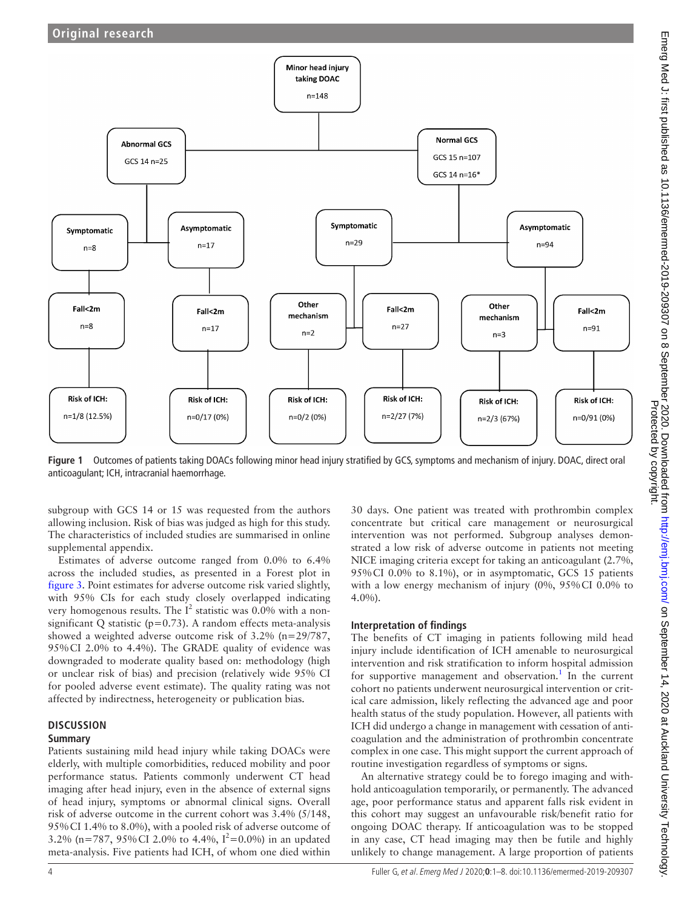

<span id="page-3-0"></span>**Figure 1** Outcomes of patients taking DOACs following minor head injury stratified by GCS, symptoms and mechanism of injury. DOAC, direct oral anticoagulant; ICH, intracranial haemorrhage.

subgroup with GCS 14 or 15 was requested from the authors allowing inclusion. Risk of bias was judged as high for this study. The characteristics of included studies are summarised in [online](https://dx.doi.org/10.1136/emermed-2019-209307)  [supplemental appendix.](https://dx.doi.org/10.1136/emermed-2019-209307)

Estimates of adverse outcome ranged from 0.0% to 6.4% across the included studies, as presented in a Forest plot in [figure](#page-6-0) 3. Point estimates for adverse outcome risk varied slightly, with 95% CIs for each study closely overlapped indicating very homogenous results. The  $I^2$  statistic was 0.0% with a nonsignificant Q statistic ( $p=0.73$ ). A random effects meta-analysis showed a weighted adverse outcome risk of 3.2% (n=29/787, 95%CI 2.0% to 4.4%). The GRADE quality of evidence was downgraded to moderate quality based on: methodology (high or unclear risk of bias) and precision (relatively wide 95% CI for pooled adverse event estimate). The quality rating was not affected by indirectness, heterogeneity or publication bias.

#### **DISCUSSION**

## **Summary**

Patients sustaining mild head injury while taking DOACs were elderly, with multiple comorbidities, reduced mobility and poor performance status. Patients commonly underwent CT head imaging after head injury, even in the absence of external signs of head injury, symptoms or abnormal clinical signs. Overall risk of adverse outcome in the current cohort was 3.4% (5/148, 95%CI 1.4% to 8.0%), with a pooled risk of adverse outcome of 3.2% (n=787, 95% CI 2.0% to 4.4%,  $I^2 = 0.0$ %) in an updated meta-analysis. Five patients had ICH, of whom one died within

30 days. One patient was treated with prothrombin complex concentrate but critical care management or neurosurgical intervention was not performed. Subgroup analyses demonstrated a low risk of adverse outcome in patients not meeting NICE imaging criteria except for taking an anticoagulant (2.7%, 95%CI 0.0% to 8.1%), or in asymptomatic, GCS 15 patients with a low energy mechanism of injury (0%, 95%CI 0.0% to 4.0%).

## **Interpretation of findings**

The benefits of CT imaging in patients following mild head injury include identification of ICH amenable to neurosurgical intervention and risk stratification to inform hospital admission for supportive management and observation.<sup>[1](#page-7-0)</sup> In the current cohort no patients underwent neurosurgical intervention or critical care admission, likely reflecting the advanced age and poor health status of the study population. However, all patients with ICH did undergo a change in management with cessation of anticoagulation and the administration of prothrombin concentrate complex in one case. This might support the current approach of routine investigation regardless of symptoms or signs.

An alternative strategy could be to forego imaging and withhold anticoagulation temporarily, or permanently. The advanced age, poor performance status and apparent falls risk evident in this cohort may suggest an unfavourable risk/benefit ratio for ongoing DOAC therapy. If anticoagulation was to be stopped in any case, CT head imaging may then be futile and highly unlikely to change management. A large proportion of patients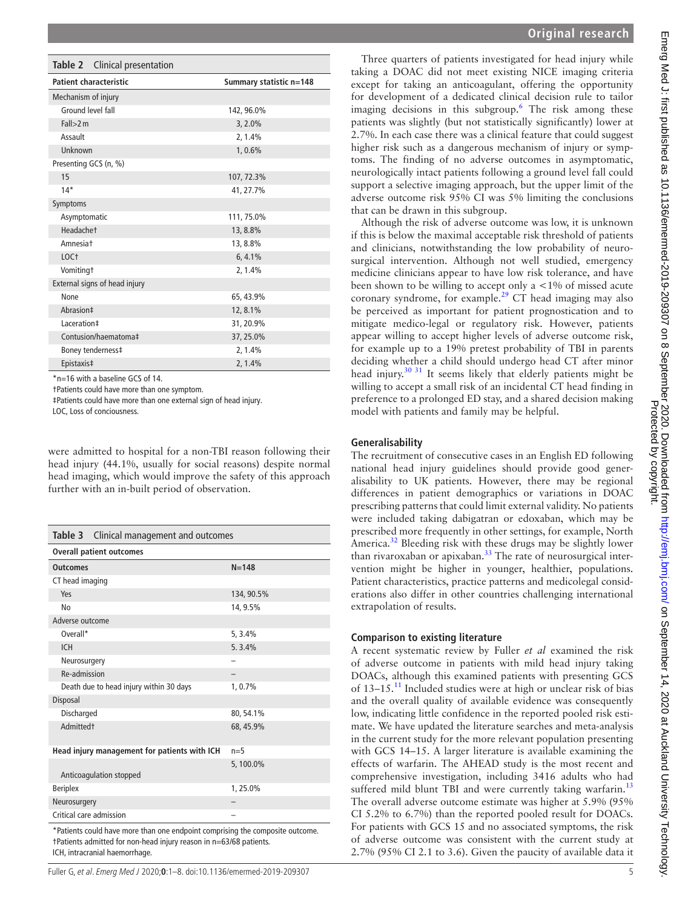<span id="page-4-0"></span>

| Clinical presentation<br>Table 2 |                         |
|----------------------------------|-------------------------|
| <b>Patient characteristic</b>    | Summary statistic n=148 |
| Mechanism of injury              |                         |
| Ground level fall                | 142, 96.0%              |
| Fall > 2m                        | $3, 2.0\%$              |
| Assault                          | 2, 1.4%                 |
| Unknown                          | 1,0.6%                  |
| Presenting GCS (n, %)            |                         |
| 15                               | 107, 72.3%              |
| $14*$                            | 41, 27.7%               |
| Symptoms                         |                         |
| Asymptomatic                     | 111, 75.0%              |
| Headachet                        | 13,8.8%                 |
| Amnesiat                         | 13, 8.8%                |
| LOC <sup>+</sup>                 | 6, 4.1%                 |
| <b>Vomitingt</b>                 | 2, 1.4%                 |
| External signs of head injury    |                         |
| None                             | 65, 43.9%               |
| Abrasion‡                        | 12, 8.1%                |
| Laceration‡                      | 31, 20.9%               |
| Contusion/haematoma‡             | 37, 25.0%               |
| Boney tenderness‡                | 2, 1.4%                 |
| Epistaxis‡                       | 2, 1.4%                 |

\*n=16 with a baseline GCS of 14.

†Patients could have more than one symptom.

‡Patients could have more than one external sign of head injury.

LOC, Loss of conciousness.

were admitted to hospital for a non-TBI reason following their head injury (44.1%, usually for social reasons) despite normal head imaging, which would improve the safety of this approach further with an in-built period of observation.

<span id="page-4-1"></span>

| Clinical management and outcomes<br>Table 3                                                                         |            |  |
|---------------------------------------------------------------------------------------------------------------------|------------|--|
| <b>Overall patient outcomes</b>                                                                                     |            |  |
| <b>Outcomes</b>                                                                                                     | $N = 148$  |  |
| CT head imaging                                                                                                     |            |  |
| Yes                                                                                                                 | 134, 90.5% |  |
| No                                                                                                                  | 14, 9.5%   |  |
| Adverse outcome                                                                                                     |            |  |
| Overall*                                                                                                            | 5, 3.4%    |  |
| <b>ICH</b>                                                                                                          | 5.3.4%     |  |
| Neurosurgery                                                                                                        |            |  |
| Re-admission                                                                                                        |            |  |
| Death due to head injury within 30 days                                                                             | 1, 0.7%    |  |
| Disposal                                                                                                            |            |  |
| Discharged                                                                                                          | 80, 54.1%  |  |
| <b>Admittedt</b>                                                                                                    | 68, 45.9%  |  |
| Head injury management for patients with ICH                                                                        | $n=5$      |  |
| Anticoagulation stopped                                                                                             | 5,100.0%   |  |
| <b>Beriplex</b>                                                                                                     | 1,25.0%    |  |
| Neurosurgery                                                                                                        |            |  |
| Critical care admission                                                                                             |            |  |
| debate and a series and the computer<br>* Basilianus and all basic communications are an incident and communication |            |  |

Patients could have more than one endpoint comprising the composite outcome †Patients admitted for non-head injury reason in n=63/68 patients. ICH, intracranial haemorrhage.

Three quarters of patients investigated for head injury while taking a DOAC did not meet existing NICE imaging criteria except for taking an anticoagulant, offering the opportunity for development of a dedicated clinical decision rule to tailor imaging decisions in this subgroup.<sup>[6](#page-7-2)</sup> The risk among these patients was slightly (but not statistically significantly) lower at 2.7%. In each case there was a clinical feature that could suggest higher risk such as a dangerous mechanism of injury or symptoms. The finding of no adverse outcomes in asymptomatic, neurologically intact patients following a ground level fall could support a selective imaging approach, but the upper limit of the adverse outcome risk 95% CI was 5% limiting the conclusions that can be drawn in this subgroup.

Although the risk of adverse outcome was low, it is unknown if this is below the maximal acceptable risk threshold of patients and clinicians, notwithstanding the low probability of neurosurgical intervention. Although not well studied, emergency medicine clinicians appear to have low risk tolerance, and have been shown to be willing to accept only  $a < 1\%$  of missed acute coronary syndrome, for example.<sup>[29](#page-7-17)</sup> CT head imaging may also be perceived as important for patient prognostication and to mitigate medico-legal or regulatory risk. However, patients appear willing to accept higher levels of adverse outcome risk, for example up to a 19% pretest probability of TBI in parents deciding whether a child should undergo head CT after minor head injury.<sup>30 31</sup> It seems likely that elderly patients might be willing to accept a small risk of an incidental CT head finding in preference to a prolonged ED stay, and a shared decision making model with patients and family may be helpful.

#### **Generalisability**

The recruitment of consecutive cases in an English ED following national head injury guidelines should provide good generalisability to UK patients. However, there may be regional differences in patient demographics or variations in DOAC prescribing patterns that could limit external validity. No patients were included taking dabigatran or edoxaban, which may be prescribed more frequently in other settings, for example, North America.<sup>32</sup> Bleeding risk with these drugs may be slightly lower than rivaroxaban or apixaban.<sup>33</sup> The rate of neurosurgical intervention might be higher in younger, healthier, populations. Patient characteristics, practice patterns and medicolegal considerations also differ in other countries challenging international extrapolation of results.

#### **Comparison to existing literature**

A recent systematic review by Fuller *et al* examined the risk of adverse outcome in patients with mild head injury taking DOACs, although this examined patients with presenting GCS of 13–15.[11](#page-7-5) Included studies were at high or unclear risk of bias and the overall quality of available evidence was consequently low, indicating little confidence in the reported pooled risk estimate. We have updated the literature searches and meta-analysis in the current study for the more relevant population presenting with GCS 14–15. A larger literature is available examining the effects of warfarin. The AHEAD study is the most recent and comprehensive investigation, including 3416 adults who had suffered mild blunt TBI and were currently taking warfarin.<sup>[13](#page-7-7)</sup> The overall adverse outcome estimate was higher at 5.9% (95% CI 5.2% to 6.7%) than the reported pooled result for DOACs. For patients with GCS 15 and no associated symptoms, the risk of adverse outcome was consistent with the current study at 2.7% (95% CI 2.1 to 3.6). Given the paucity of available data it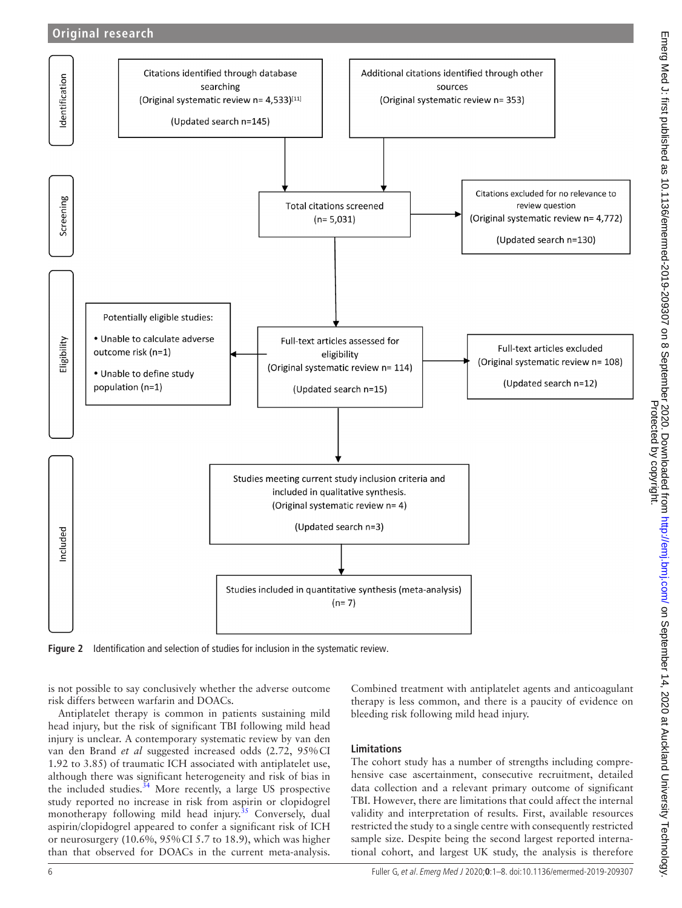## **Original research**



<span id="page-5-0"></span>**Figure 2** Identification and selection of studies for inclusion in the systematic review.

is not possible to say conclusively whether the adverse outcome risk differs between warfarin and DOACs.

Antiplatelet therapy is common in patients sustaining mild head injury, but the risk of significant TBI following mild head injury is unclear. A contemporary systematic review by van den van den Brand *et al* suggested increased odds (2.72, 95%CI 1.92 to 3.85) of traumatic ICH associated with antiplatelet use, although there was significant heterogeneity and risk of bias in the included studies. $34$  More recently, a large US prospective study reported no increase in risk from aspirin or clopidogrel monotherapy following mild head injury.<sup>[35](#page-7-22)</sup> Conversely, dual aspirin/clopidogrel appeared to confer a significant risk of ICH or neurosurgery (10.6%, 95%CI 5.7 to 18.9), which was higher than that observed for DOACs in the current meta-analysis.

Combined treatment with antiplatelet agents and anticoagulant therapy is less common, and there is a paucity of evidence on bleeding risk following mild head injury.

#### **Limitations**

The cohort study has a number of strengths including comprehensive case ascertainment, consecutive recruitment, detailed data collection and a relevant primary outcome of significant TBI. However, there are limitations that could affect the internal validity and interpretation of results. First, available resources restricted the study to a single centre with consequently restricted sample size. Despite being the second largest reported international cohort, and largest UK study, the analysis is therefore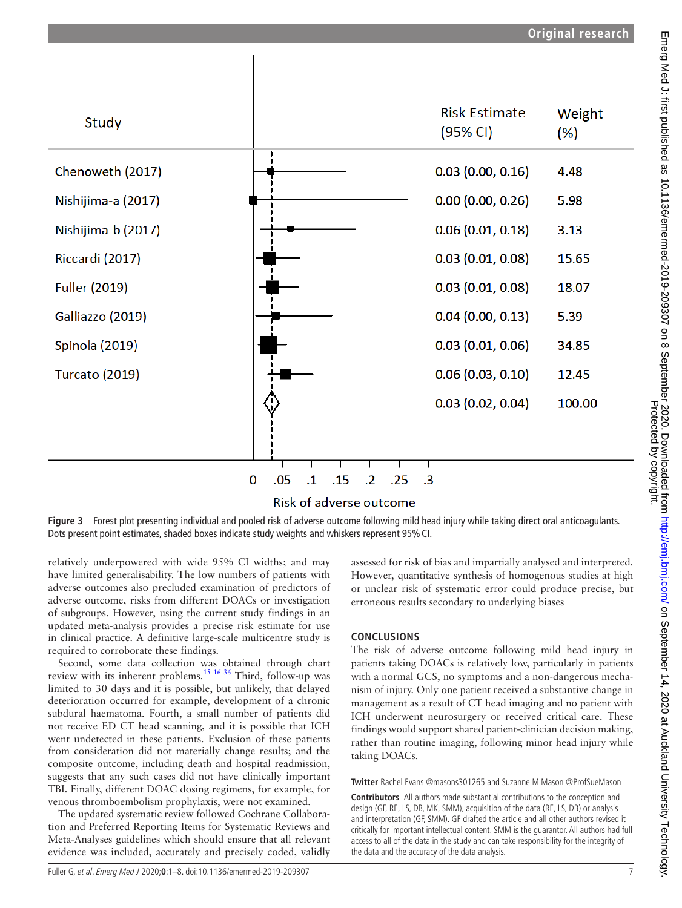

## Risk of adverse outcome

<span id="page-6-0"></span>**Figure 3** Forest plot presenting individual and pooled risk of adverse outcome following mild head injury while taking direct oral anticoagulants. Dots present point estimates, shaded boxes indicate study weights and whiskers represent 95% CI.

relatively underpowered with wide 95% CI widths; and may have limited generalisability. The low numbers of patients with adverse outcomes also precluded examination of predictors of adverse outcome, risks from different DOACs or investigation of subgroups. However, using the current study findings in an updated meta-analysis provides a precise risk estimate for use in clinical practice. A definitive large-scale multicentre study is required to corroborate these findings.

Second, some data collection was obtained through chart review with its inherent problems.[15 16 36](#page-7-23) Third, follow-up was limited to 30 days and it is possible, but unlikely, that delayed deterioration occurred for example, development of a chronic subdural haematoma. Fourth, a small number of patients did not receive ED CT head scanning, and it is possible that ICH went undetected in these patients. Exclusion of these patients from consideration did not materially change results; and the composite outcome, including death and hospital readmission, suggests that any such cases did not have clinically important TBI. Finally, different DOAC dosing regimens, for example, for venous thromboembolism prophylaxis, were not examined.

The updated systematic review followed Cochrane Collaboration and Preferred Reporting Items for Systematic Reviews and Meta-Analyses guidelines which should ensure that all relevant evidence was included, accurately and precisely coded, validly

assessed for risk of bias and impartially analysed and interpreted. However, quantitative synthesis of homogenous studies at high or unclear risk of systematic error could produce precise, but erroneous results secondary to underlying biases

## **CONCLUSIONS**

The risk of adverse outcome following mild head injury in patients taking DOACs is relatively low, particularly in patients with a normal GCS, no symptoms and a non-dangerous mechanism of injury. Only one patient received a substantive change in management as a result of CT head imaging and no patient with ICH underwent neurosurgery or received critical care. These findings would support shared patient-clinician decision making, rather than routine imaging, following minor head injury while taking DOACs.

**Twitter** Rachel Evans [@masons301265](https://twitter.com/masons301265) and Suzanne M Mason [@ProfSueMason](https://twitter.com/ProfSueMason)

**Contributors** All authors made substantial contributions to the conception and design (GF, RE, LS, DB, MK, SMM), acquisition of the data (RE, LS, DB) or analysis and interpretation (GF, SMM). GF drafted the article and all other authors revised it critically for important intellectual content. SMM is the guarantor. All authors had full access to all of the data in the study and can take responsibility for the integrity of the data and the accuracy of the data analysis.